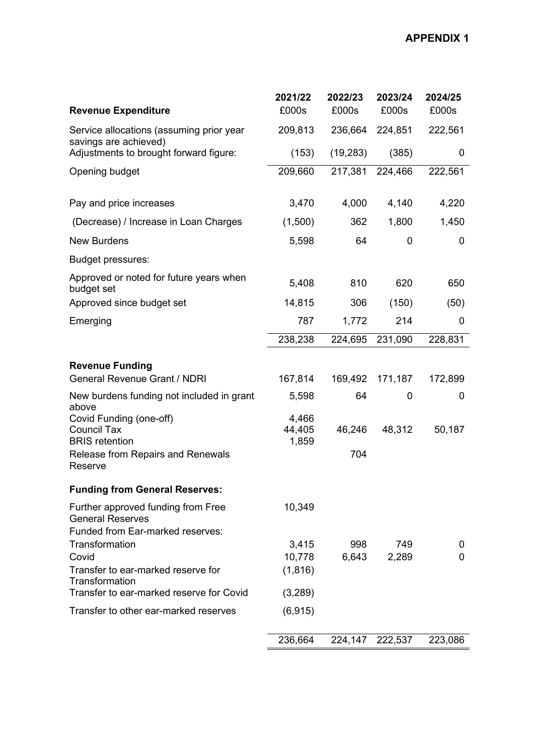| <b>Revenue Expenditure</b>                                                                                             | 2021/22<br>£000s         | 2022/23<br>£000s | 2023/24<br>£000s | 2024/25<br>£000s |
|------------------------------------------------------------------------------------------------------------------------|--------------------------|------------------|------------------|------------------|
| Service allocations (assuming prior year<br>savings are achieved)                                                      | 209,813                  | 236,664          | 224,851          | 222,561          |
| Adjustments to brought forward figure:                                                                                 | (153)                    | (19, 283)        | (385)            | 0                |
| Opening budget                                                                                                         | 209,660                  | 217,381          | 224,466          | 222,561          |
| Pay and price increases                                                                                                | 3,470                    | 4,000            | 4,140            | 4,220            |
| (Decrease) / Increase in Loan Charges                                                                                  | (1,500)                  | 362              | 1,800            | 1,450            |
| <b>New Burdens</b>                                                                                                     | 5,598                    | 64               | 0                | 0                |
| <b>Budget pressures:</b>                                                                                               |                          |                  |                  |                  |
| Approved or noted for future years when<br>budget set                                                                  | 5,408                    | 810              | 620              | 650              |
| Approved since budget set                                                                                              | 14,815                   | 306              | (150)            | (50)             |
| Emerging                                                                                                               | 787                      | 1,772            | 214              | 0                |
|                                                                                                                        | 238,238                  | 224,695          | 231,090          | 228,831          |
| <b>Revenue Funding</b>                                                                                                 |                          |                  |                  |                  |
| <b>General Revenue Grant / NDRI</b>                                                                                    | 167,814                  | 169,492          | 171,187          | 172,899          |
| New burdens funding not included in grant<br>above                                                                     | 5,598                    | 64               | 0                | 0                |
| Covid Funding (one-off)<br><b>Council Tax</b><br><b>BRIS</b> retention<br>Release from Repairs and Renewals<br>Reserve | 4,466<br>44,405<br>1,859 | 46,246<br>704    | 48,312           | 50,187           |
| <b>Funding from General Reserves:</b>                                                                                  |                          |                  |                  |                  |
| Further approved funding from Free<br><b>General Reserves</b>                                                          | 10,349                   |                  |                  |                  |
| Funded from Ear-marked reserves:<br>Transformation                                                                     | 3,415                    | 998              | 749              | 0                |
| Covid                                                                                                                  | 10,778                   | 6,643            | 2,289            | 0                |
| Transfer to ear-marked reserve for<br>Transformation                                                                   | (1,816)                  |                  |                  |                  |
| Transfer to ear-marked reserve for Covid                                                                               | (3,289)                  |                  |                  |                  |
| Transfer to other ear-marked reserves                                                                                  | (6, 915)                 |                  |                  |                  |
|                                                                                                                        | 236,664                  |                  | 224,147 222,537  | 223,086          |